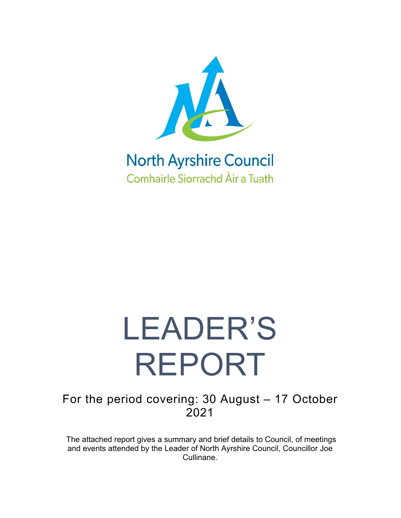

### **North Ayrshire Council Comhairle Siorrachd Àir a Tuath**

# LEADER'S REPORT

For the period covering: 30 August – 17 October 2021

The attached report gives a summary and brief details to Council, of meetings and events attended by the Leader of North Ayrshire Council, Councillor Joe Cullinane.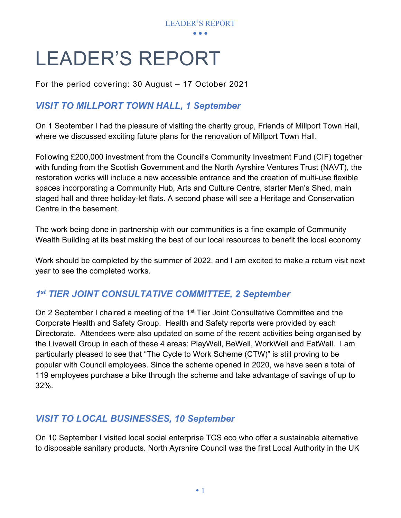

## LEADER'S REPORT

For the period covering: 30 August – 17 October 2021

#### *VISIT TO MILLPORT TOWN HALL, 1 September*

On 1 September I had the pleasure of visiting the charity group, Friends of Millport Town Hall, where we discussed exciting future plans for the renovation of Millport Town Hall.

Following £200,000 investment from the Council's Community Investment Fund (CIF) together with funding from the Scottish Government and the North Ayrshire Ventures Trust (NAVT), the restoration works will include a new accessible entrance and the creation of multi-use flexible spaces incorporating a Community Hub, Arts and Culture Centre, starter Men's Shed, main staged hall and three holiday-let flats. A second phase will see a Heritage and Conservation Centre in the basement.

The work being done in partnership with our communities is a fine example of Community Wealth Building at its best making the best of our local resources to benefit the local economy

Work should be completed by the summer of 2022, and I am excited to make a return visit next year to see the completed works.

#### *1st TIER JOINT CONSULTATIVE COMMITTEE, 2 September*

On 2 September I chaired a meeting of the 1<sup>st</sup> Tier Joint Consultative Committee and the Corporate Health and Safety Group. Health and Safety reports were provided by each Directorate. Attendees were also updated on some of the recent activities being organised by the Livewell Group in each of these 4 areas: PlayWell, BeWell, WorkWell and EatWell. I am particularly pleased to see that "The Cycle to Work Scheme (CTW)" is still proving to be popular with Council employees. Since the scheme opened in 2020, we have seen a total of 119 employees purchase a bike through the scheme and take advantage of savings of up to 32%.

#### *VISIT TO LOCAL BUSINESSES, 10 September*

On 10 September I visited local social enterprise TCS eco who offer a sustainable alternative to disposable sanitary products. North Ayrshire Council was the first Local Authority in the UK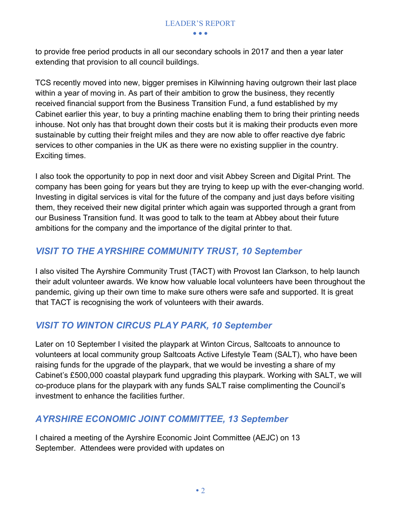to provide free period products in all our secondary schools in 2017 and then a year later extending that provision to all council buildings.

TCS recently moved into new, bigger premises in Kilwinning having outgrown their last place within a year of moving in. As part of their ambition to grow the business, they recently received financial support from the Business Transition Fund, a fund established by my Cabinet earlier this year, to buy a printing machine enabling them to bring their printing needs inhouse. Not only has that brought down their costs but it is making their products even more sustainable by cutting their freight miles and they are now able to offer reactive dye fabric services to other companies in the UK as there were no existing supplier in the country. Exciting times.

I also took the opportunity to pop in next door and visit Abbey Screen and Digital Print. The company has been going for years but they are trying to keep up with the ever-changing world. Investing in digital services is vital for the future of the company and just days before visiting them, they received their new digital printer which again was supported through a grant from our Business Transition fund. It was good to talk to the team at Abbey about their future ambitions for the company and the importance of the digital printer to that.

#### *VISIT TO THE AYRSHIRE COMMUNITY TRUST, 10 September*

I also visited The Ayrshire Community Trust (TACT) with Provost Ian Clarkson, to help launch their adult volunteer awards. We know how valuable local volunteers have been throughout the pandemic, giving up their own time to make sure others were safe and supported. It is great that TACT is recognising the work of volunteers with their awards.

#### *VISIT TO WINTON CIRCUS PLAY PARK, 10 September*

Later on 10 September I visited the playpark at Winton Circus, Saltcoats to announce to volunteers at local community group Saltcoats Active Lifestyle Team (SALT), who have been raising funds for the upgrade of the playpark, that we would be investing a share of my Cabinet's £500,000 coastal playpark fund upgrading this playpark. Working with SALT, we will co-produce plans for the playpark with any funds SALT raise complimenting the Council's investment to enhance the facilities further.

#### *AYRSHIRE ECONOMIC JOINT COMMITTEE, 13 September*

I chaired a meeting of the Ayrshire Economic Joint Committee (AEJC) on 13 September. Attendees were provided with updates on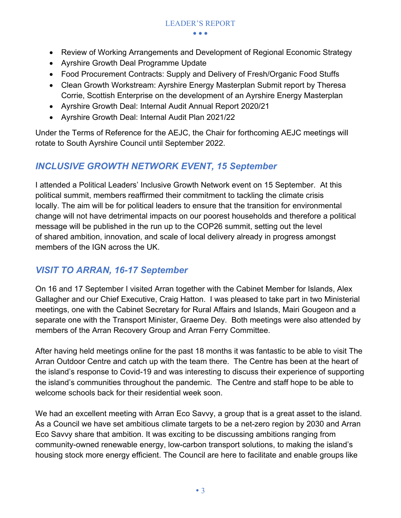- • •
- Review of Working Arrangements and Development of Regional Economic Strategy
- Ayrshire Growth Deal Programme Update
- Food Procurement Contracts: Supply and Delivery of Fresh/Organic Food Stuffs
- Clean Growth Workstream: Ayrshire Energy Masterplan Submit report by Theresa Corrie, Scottish Enterprise on the development of an Ayrshire Energy Masterplan
- Ayrshire Growth Deal: Internal Audit Annual Report 2020/21
- Ayrshire Growth Deal: Internal Audit Plan 2021/22

Under the Terms of Reference for the AEJC, the Chair for forthcoming AEJC meetings will rotate to South Ayrshire Council until September 2022.

#### *INCLUSIVE GROWTH NETWORK EVENT, 15 September*

I attended a Political Leaders' Inclusive Growth Network event on 15 September. At this political summit, members reaffirmed their commitment to tackling the climate crisis locally. The aim will be for political leaders to ensure that the transition for environmental change will not have detrimental impacts on our poorest households and therefore a political message will be published in the run up to the COP26 summit, setting out the level of shared ambition, innovation, and scale of local delivery already in progress amongst members of the IGN across the UK.

#### *VISIT TO ARRAN, 16-17 September*

On 16 and 17 September I visited Arran together with the Cabinet Member for Islands, Alex Gallagher and our Chief Executive, Craig Hatton. I was pleased to take part in two Ministerial meetings, one with the Cabinet Secretary for Rural Affairs and Islands, Mairi Gougeon and a separate one with the Transport Minister, Graeme Dey. Both meetings were also attended by members of the Arran Recovery Group and Arran Ferry Committee.

After having held meetings online for the past 18 months it was fantastic to be able to visit The Arran Outdoor Centre and catch up with the team there. The Centre has been at the heart of the island's response to Covid-19 and was interesting to discuss their experience of supporting the island's communities throughout the pandemic. The Centre and staff hope to be able to welcome schools back for their residential week soon.

We had an excellent meeting with Arran Eco Savvy, a group that is a great asset to the island. As a Council we have set ambitious climate targets to be a net-zero region by 2030 and Arran Eco Savvy share that ambition. It was exciting to be discussing ambitions ranging from community-owned renewable energy, low-carbon transport solutions, to making the island's housing stock more energy efficient. The Council are here to facilitate and enable groups like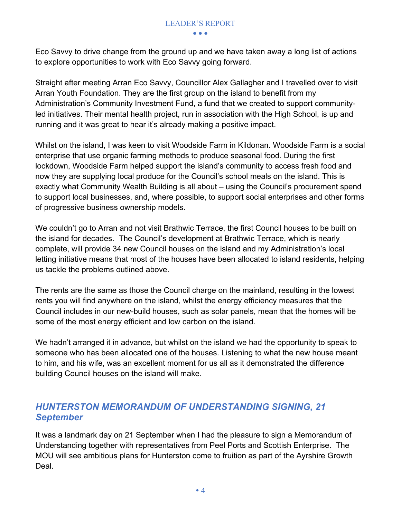Eco Savvy to drive change from the ground up and we have taken away a long list of actions to explore opportunities to work with Eco Savvy going forward.

Straight after meeting Arran Eco Savvy, Councillor Alex Gallagher and I travelled over to visit Arran Youth Foundation. They are the first group on the island to benefit from my Administration's Community Investment Fund, a fund that we created to support communityled initiatives. Their mental health project, run in association with the High School, is up and running and it was great to hear it's already making a positive impact.

Whilst on the island, I was keen to visit Woodside Farm in Kildonan. Woodside Farm is a social enterprise that use organic farming methods to produce seasonal food. During the first lockdown, Woodside Farm helped support the island's community to access fresh food and now they are supplying local produce for the Council's school meals on the island. This is exactly what Community Wealth Building is all about – using the Council's procurement spend to support local businesses, and, where possible, to support social enterprises and other forms of progressive business ownership models.

We couldn't go to Arran and not visit Brathwic Terrace, the first Council houses to be built on the island for decades. The Council's development at Brathwic Terrace, which is nearly complete, will provide 34 new Council houses on the island and my Administration's local letting initiative means that most of the houses have been allocated to island residents, helping us tackle the problems outlined above.

The rents are the same as those the Council charge on the mainland, resulting in the lowest rents you will find anywhere on the island, whilst the energy efficiency measures that the Council includes in our new-build houses, such as solar panels, mean that the homes will be some of the most energy efficient and low carbon on the island.

We hadn't arranged it in advance, but whilst on the island we had the opportunity to speak to someone who has been allocated one of the houses. Listening to what the new house meant to him, and his wife, was an excellent moment for us all as it demonstrated the difference building Council houses on the island will make.

#### *HUNTERSTON MEMORANDUM OF UNDERSTANDING SIGNING, 21 September*

It was a landmark day on 21 September when I had the pleasure to sign a Memorandum of Understanding together with representatives from Peel Ports and Scottish Enterprise. The MOU will see ambitious plans for Hunterston come to fruition as part of the Ayrshire Growth Deal.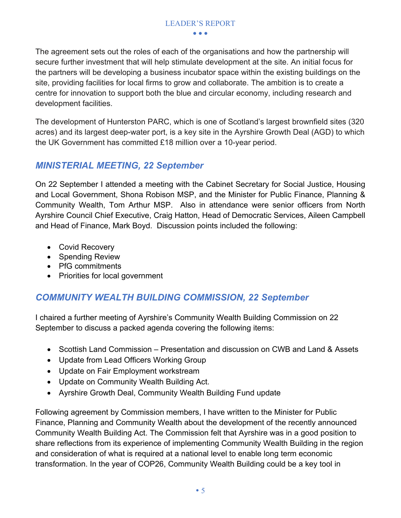#### LEADER'S REPORT

• • •

The agreement sets out the roles of each of the organisations and how the partnership will secure further investment that will help stimulate development at the site. An initial focus for the partners will be developing a business incubator space within the existing buildings on the site, providing facilities for local firms to grow and collaborate. The ambition is to create a centre for innovation to support both the blue and circular economy, including research and development facilities.

The development of Hunterston PARC, which is one of Scotland's largest brownfield sites (320 acres) and its largest deep-water port, is a key site in the Ayrshire Growth Deal (AGD) to which the UK Government has committed £18 million over a 10-year period.

#### *MINISTERIAL MEETING, 22 September*

On 22 September I attended a meeting with the Cabinet Secretary for Social Justice, Housing and Local Government, Shona Robison MSP, and the Minister for Public Finance, Planning & Community Wealth, Tom Arthur MSP. Also in attendance were senior officers from North Ayrshire Council Chief Executive, Craig Hatton, Head of Democratic Services, Aileen Campbell and Head of Finance, Mark Boyd. Discussion points included the following:

- Covid Recovery
- Spending Review
- PfG commitments
- Priorities for local government

#### *COMMUNITY WEALTH BUILDING COMMISSION, 22 September*

I chaired a further meeting of Ayrshire's Community Wealth Building Commission on 22 September to discuss a packed agenda covering the following items:

- Scottish Land Commission Presentation and discussion on CWB and Land & Assets
- Update from Lead Officers Working Group
- Update on Fair Employment workstream
- Update on Community Wealth Building Act.
- Ayrshire Growth Deal, Community Wealth Building Fund update

Following agreement by Commission members, I have written to the Minister for Public Finance, Planning and Community Wealth about the development of the recently announced Community Wealth Building Act. The Commission felt that Ayrshire was in a good position to share reflections from its experience of implementing Community Wealth Building in the region and consideration of what is required at a national level to enable long term economic transformation. In the year of COP26, Community Wealth Building could be a key tool in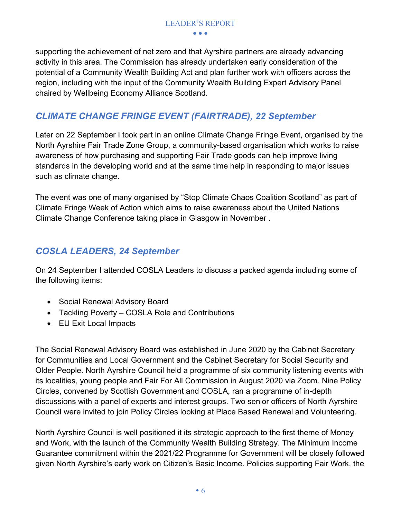supporting the achievement of net zero and that Ayrshire partners are already advancing activity in this area. The Commission has already undertaken early consideration of the potential of a Community Wealth Building Act and plan further work with officers across the region, including with the input of the Community Wealth Building Expert Advisory Panel chaired by Wellbeing Economy Alliance Scotland.

#### *CLIMATE CHANGE FRINGE EVENT (FAIRTRADE), 22 September*

Later on 22 September I took part in an online Climate Change Fringe Event, organised by the North Ayrshire Fair Trade Zone Group, a community-based organisation which works to raise awareness of how purchasing and supporting Fair Trade goods can help improve living standards in the developing world and at the same time help in responding to major issues such as climate change.

The event was one of many organised by "Stop Climate Chaos Coalition Scotland" as part of Climate Fringe Week of Action which aims to raise awareness about the United Nations Climate Change Conference taking place in Glasgow in November .

#### *COSLA LEADERS, 24 September*

On 24 September I attended COSLA Leaders to discuss a packed agenda including some of the following items:

- Social Renewal Advisory Board
- Tackling Poverty COSLA Role and Contributions
- EU Exit Local Impacts

The Social Renewal Advisory Board was established in June 2020 by the Cabinet Secretary for Communities and Local Government and the Cabinet Secretary for Social Security and Older People. North Ayrshire Council held a programme of six community listening events with its localities, young people and Fair For All Commission in August 2020 via Zoom. Nine Policy Circles, convened by Scottish Government and COSLA, ran a programme of in-depth discussions with a panel of experts and interest groups. Two senior officers of North Ayrshire Council were invited to join Policy Circles looking at Place Based Renewal and Volunteering.

North Ayrshire Council is well positioned it its strategic approach to the first theme of Money and Work, with the launch of the Community Wealth Building Strategy. The Minimum Income Guarantee commitment within the 2021/22 Programme for Government will be closely followed given North Ayrshire's early work on Citizen's Basic Income. Policies supporting Fair Work, the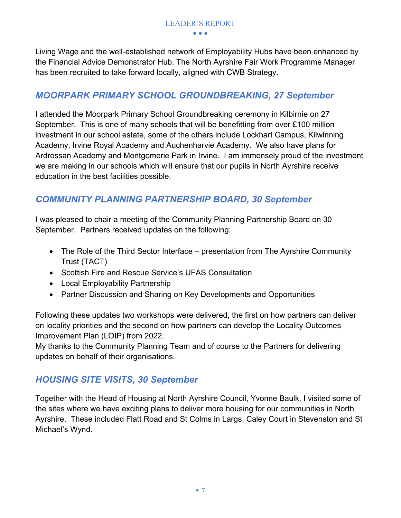Living Wage and the well-established network of Employability Hubs have been enhanced by the Financial Advice Demonstrator Hub. The North Ayrshire Fair Work Programme Manager has been recruited to take forward locally, aligned with CWB Strategy.

#### *MOORPARK PRIMARY SCHOOL GROUNDBREAKING, 27 September*

I attended the Moorpark Primary School Groundbreaking ceremony in Kilbirnie on 27 September. This is one of many schools that will be benefitting from over £100 million investment in our school estate, some of the others include Lockhart Campus, Kilwinning Academy, Irvine Royal Academy and Auchenharvie Academy. We also have plans for Ardrossan Academy and Montgomerie Park in Irvine. I am immensely proud of the investment we are making in our schools which will ensure that our pupils in North Ayrshire receive education in the best facilities possible.

#### *COMMUNITY PLANNING PARTNERSHIP BOARD, 30 September*

I was pleased to chair a meeting of the Community Planning Partnership Board on 30 September. Partners received updates on the following:

- The Role of the Third Sector Interface presentation from The Ayrshire Community Trust (TACT)
- Scottish Fire and Rescue Service's UFAS Consultation
- Local Employability Partnership
- Partner Discussion and Sharing on Key Developments and Opportunities

Following these updates two workshops were delivered, the first on how partners can deliver on locality priorities and the second on how partners can develop the Locality Outcomes Improvement Plan (LOIP) from 2022.

My thanks to the Community Planning Team and of course to the Partners for delivering updates on behalf of their organisations.

#### *HOUSING SITE VISITS, 30 September*

Together with the Head of Housing at North Ayrshire Council, Yvonne Baulk, I visited some of the sites where we have exciting plans to deliver more housing for our communities in North Ayrshire. These included Flatt Road and St Colms in Largs, Caley Court in Stevenston and St Michael's Wynd.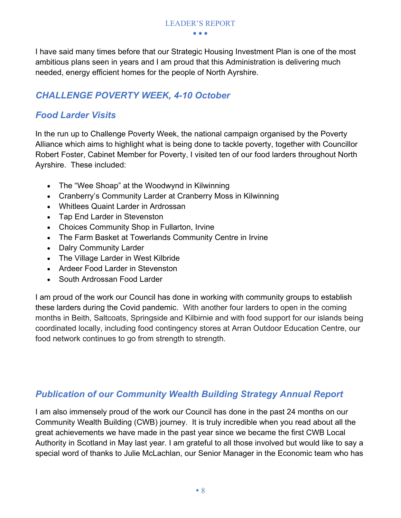I have said many times before that our Strategic Housing Investment Plan is one of the most ambitious plans seen in years and I am proud that this Administration is delivering much needed, energy efficient homes for the people of North Ayrshire.

LEADER'S REPORT • • •

#### *CHALLENGE POVERTY WEEK, 4-10 October*

#### *Food Larder Visits*

In the run up to Challenge Poverty Week, the national campaign organised by the Poverty Alliance which aims to highlight what is being done to tackle poverty, together with Councillor Robert Foster, Cabinet Member for Poverty, I visited ten of our food larders throughout North Ayrshire. These included:

- The "Wee Shoap" at the Woodwynd in Kilwinning
- Cranberry's Community Larder at Cranberry Moss in Kilwinning
- Whitlees Quaint Larder in Ardrossan
- Tap End Larder in Stevenston
- Choices Community Shop in Fullarton, Irvine
- The Farm Basket at Towerlands Community Centre in Irvine
- Dalry Community Larder
- The Village Larder in West Kilbride
- Ardeer Food Larder in Stevenston
- South Ardrossan Food Larder

I am proud of the work our Council has done in working with community groups to establish these larders during the Covid pandemic. With another four larders to open in the coming months in Beith, Saltcoats, Springside and Kilbirnie and with food support for our islands being coordinated locally, including food contingency stores at Arran Outdoor Education Centre, our food network continues to go from strength to strength.

#### *Publication of our Community Wealth Building Strategy Annual Report*

I am also immensely proud of the work our Council has done in the past 24 months on our Community Wealth Building (CWB) journey. It is truly incredible when you read about all the great achievements we have made in the past year since we became the first CWB Local Authority in Scotland in May last year. I am grateful to all those involved but would like to say a special word of thanks to Julie McLachlan, our Senior Manager in the Economic team who has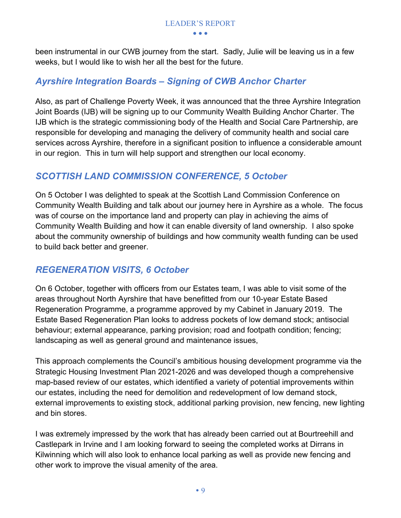been instrumental in our CWB journey from the start. Sadly, Julie will be leaving us in a few weeks, but I would like to wish her all the best for the future.

#### *Ayrshire Integration Boards – Signing of CWB Anchor Charter*

Also, as part of Challenge Poverty Week, it was announced that the three Ayrshire Integration Joint Boards (IJB) will be signing up to our Community Wealth Building Anchor Charter. The IJB which is the strategic commissioning body of the Health and Social Care Partnership, are responsible for developing and managing the delivery of community health and social care services across Ayrshire, therefore in a significant position to influence a considerable amount in our region. This in turn will help support and strengthen our local economy.

#### *SCOTTISH LAND COMMISSION CONFERENCE, 5 October*

On 5 October I was delighted to speak at the Scottish Land Commission Conference on Community Wealth Building and talk about our journey here in Ayrshire as a whole. The focus was of course on the importance land and property can play in achieving the aims of Community Wealth Building and how it can enable diversity of land ownership. I also spoke about the community ownership of buildings and how community wealth funding can be used to build back better and greener.

#### *REGENERATION VISITS, 6 October*

On 6 October, together with officers from our Estates team, I was able to visit some of the areas throughout North Ayrshire that have benefitted from our 10-year Estate Based Regeneration Programme, a programme approved by my Cabinet in January 2019. The Estate Based Regeneration Plan looks to address pockets of low demand stock; antisocial behaviour; external appearance, parking provision; road and footpath condition; fencing; landscaping as well as general ground and maintenance issues,

This approach complements the Council's ambitious housing development programme via the Strategic Housing Investment Plan 2021-2026 and was developed though a comprehensive map-based review of our estates, which identified a variety of potential improvements within our estates, including the need for demolition and redevelopment of low demand stock, external improvements to existing stock, additional parking provision, new fencing, new lighting and bin stores.

I was extremely impressed by the work that has already been carried out at Bourtreehill and Castlepark in Irvine and I am looking forward to seeing the completed works at Dirrans in Kilwinning which will also look to enhance local parking as well as provide new fencing and other work to improve the visual amenity of the area.